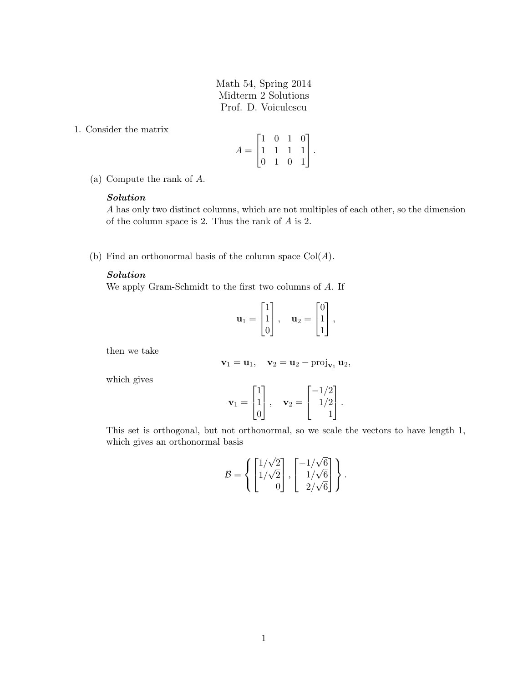Math 54, Spring 2014 Midterm 2 Solutions Prof. D. Voiculescu

1. Consider the matrix

$$
A = \begin{bmatrix} 1 & 0 & 1 & 0 \\ 1 & 1 & 1 & 1 \\ 0 & 1 & 0 & 1 \end{bmatrix}.
$$

(a) Compute the rank of A.

#### Solution

A has only two distinct columns, which are not multiples of each other, so the dimension of the column space is 2. Thus the rank of A is 2.

(b) Find an orthonormal basis of the column space  $Col(A)$ .

## Solution

We apply Gram-Schmidt to the first two columns of A. If

$$
\mathbf{u}_1 = \begin{bmatrix} 1 \\ 1 \\ 0 \end{bmatrix}, \quad \mathbf{u}_2 = \begin{bmatrix} 0 \\ 1 \\ 1 \end{bmatrix},
$$

then we take

$$
\mathbf{v}_1 = \mathbf{u}_1, \quad \mathbf{v}_2 = \mathbf{u}_2 - \text{proj}_{\mathbf{v}_1} \mathbf{u}_2,
$$

which gives

$$
\mathbf{v}_1 = \begin{bmatrix} 1 \\ 1 \\ 0 \end{bmatrix}, \quad \mathbf{v}_2 = \begin{bmatrix} -1/2 \\ 1/2 \\ 1 \end{bmatrix}.
$$

This set is orthogonal, but not orthonormal, so we scale the vectors to have length 1, which gives an orthonormal basis

$$
\mathcal{B} = \left\{ \begin{bmatrix} 1/\sqrt{2} \\ 1/\sqrt{2} \\ 0 \end{bmatrix}, \begin{bmatrix} -1/\sqrt{6} \\ 1/\sqrt{6} \\ 2/\sqrt{6} \end{bmatrix} \right\}.
$$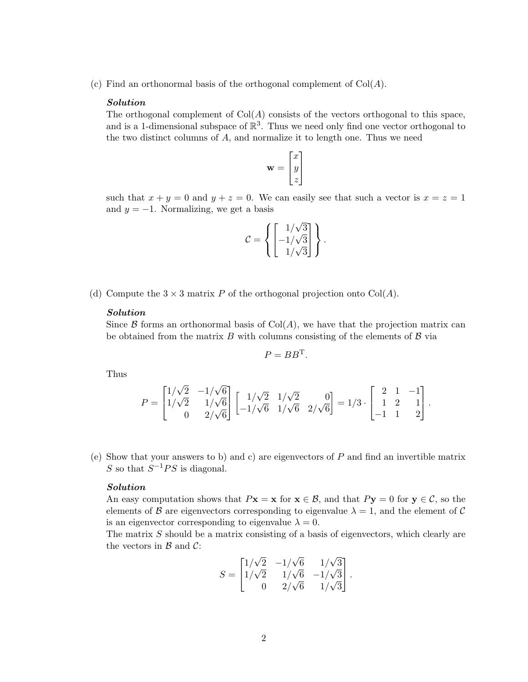(c) Find an orthonormal basis of the orthogonal complement of  $Col(A)$ .

#### Solution

The orthogonal complement of  $Col(A)$  consists of the vectors orthogonal to this space, and is a 1-dimensional subspace of  $\mathbb{R}^3$ . Thus we need only find one vector orthogonal to the two distinct columns of A, and normalize it to length one. Thus we need

$$
\mathbf{w} = \begin{bmatrix} x \\ y \\ z \end{bmatrix}
$$

such that  $x + y = 0$  and  $y + z = 0$ . We can easily see that such a vector is  $x = z = 1$ and  $y = -1$ . Normalizing, we get a basis

$$
\mathcal{C} = \left\{ \begin{bmatrix} 1/\sqrt{3} \\ -1/\sqrt{3} \\ 1/\sqrt{3} \end{bmatrix} \right\}.
$$

(d) Compute the  $3 \times 3$  matrix P of the orthogonal projection onto Col(A).

#### Solution

Since  $\beta$  forms an orthonormal basis of Col(A), we have that the projection matrix can be obtained from the matrix  $B$  with columns consisting of the elements of  $B$  via

$$
P = BB^{\mathrm{T}}.
$$

Thus

$$
P = \begin{bmatrix} 1/\sqrt{2} & -1/\sqrt{6} \\ 1/\sqrt{2} & 1/\sqrt{6} \\ 0 & 2/\sqrt{6} \end{bmatrix} \begin{bmatrix} 1/\sqrt{2} & 1/\sqrt{2} & 0 \\ -1/\sqrt{6} & 1/\sqrt{6} & 2/\sqrt{6} \end{bmatrix} = 1/3 \cdot \begin{bmatrix} 2 & 1 & -1 \\ 1 & 2 & 1 \\ -1 & 1 & 2 \end{bmatrix}.
$$

(e) Show that your answers to b) and c) are eigenvectors of P and find an invertible matrix S so that  $S^{-1}PS$  is diagonal.

#### Solution

An easy computation shows that  $P\mathbf{x} = \mathbf{x}$  for  $\mathbf{x} \in \mathcal{B}$ , and that  $P\mathbf{y} = 0$  for  $\mathbf{y} \in \mathcal{C}$ , so the elements of B are eigenvectors corresponding to eigenvalue  $\lambda = 1$ , and the element of C is an eigenvector corresponding to eigenvalue  $\lambda = 0$ .

The matrix  $S$  should be a matrix consisting of a basis of eigenvectors, which clearly are the vectors in  $\mathcal{B}$  and  $\mathcal{C}$ :

$$
S = \begin{bmatrix} 1/\sqrt{2} & -1/\sqrt{6} & 1/\sqrt{3} \\ 1/\sqrt{2} & 1/\sqrt{6} & -1/\sqrt{3} \\ 0 & 2/\sqrt{6} & 1/\sqrt{3} \end{bmatrix}.
$$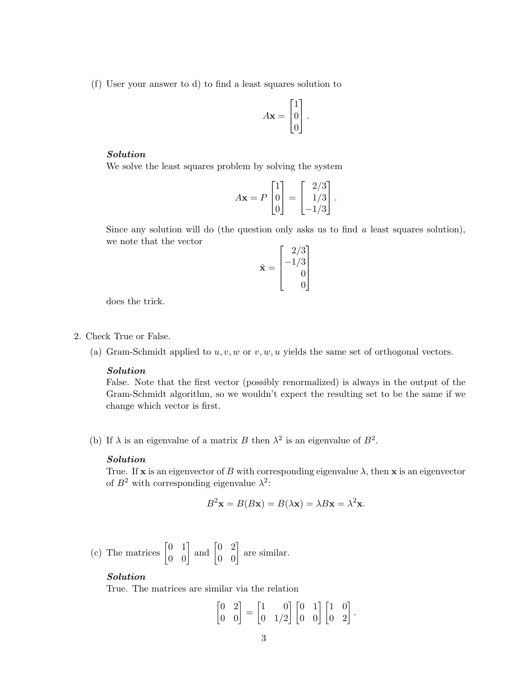(f) User your answer to d) to find a least squares solution to

$$
A\mathbf{x} = \begin{bmatrix} 1 \\ 0 \\ 0 \end{bmatrix}.
$$

# Solution

We solve the least squares problem by solving the system

$$
A\mathbf{x} = P \begin{bmatrix} 1 \\ 0 \\ 0 \end{bmatrix} = \begin{bmatrix} 2/3 \\ 1/3 \\ -1/3 \end{bmatrix}.
$$

Since any solution will do (the question only asks us to find  $a$  least squares solution), we note that the vector

$$
\hat{\mathbf{x}} = \begin{bmatrix} 2/3 \\ -1/3 \\ 0 \\ 0 \end{bmatrix}
$$

does the trick.

- 2. Check True or False.
	- (a) Gram-Schmidt applied to  $u, v, w$  or  $v, w, u$  yields the same set of orthogonal vectors.

## Solution

False. Note that the first vector (possibly renormalized) is always in the output of the Gram-Schmidt algorithm, so we wouldn't expect the resulting set to be the same if we change which vector is first.

(b) If  $\lambda$  is an eigenvalue of a matrix B then  $\lambda^2$  is an eigenvalue of  $B^2$ .

### Solution

True. If x is an eigenvector of B with corresponding eigenvalue  $\lambda$ , then x is an eigenvector of  $B^2$  with corresponding eigenvalue  $\lambda^2$ :

$$
B^2\mathbf{x} = B(B\mathbf{x}) = B(\lambda \mathbf{x}) = \lambda B\mathbf{x} = \lambda^2 \mathbf{x}.
$$

(c) The matrices 
$$
\begin{bmatrix} 0 & 1 \\ 0 & 0 \end{bmatrix}
$$
 and  $\begin{bmatrix} 0 & 2 \\ 0 & 0 \end{bmatrix}$  are similar.

### Solution

True. The matrices are similar via the relation

$$
\begin{bmatrix} 0 & 2 \\ 0 & 0 \end{bmatrix} = \begin{bmatrix} 1 & 0 \\ 0 & 1/2 \end{bmatrix} \begin{bmatrix} 0 & 1 \\ 0 & 0 \end{bmatrix} \begin{bmatrix} 1 & 0 \\ 0 & 2 \end{bmatrix}.
$$